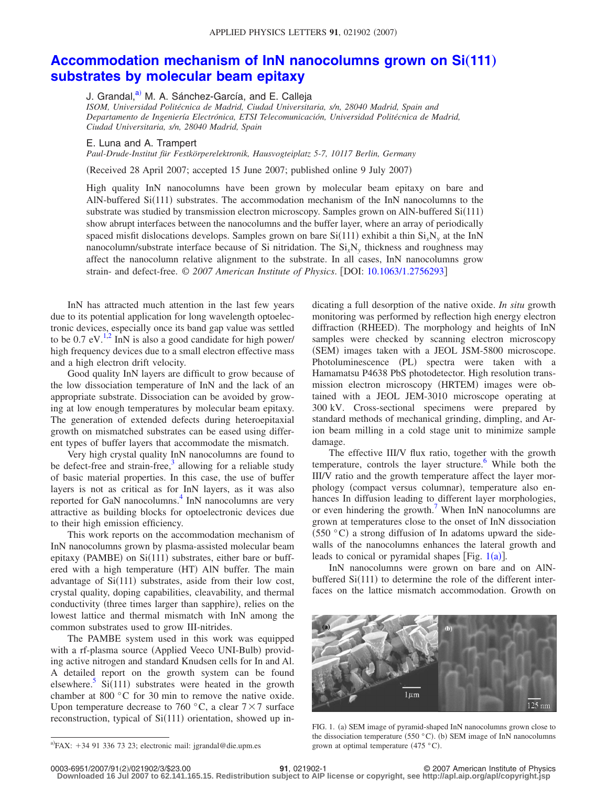## **[Accommodation mechanism of InN nanocolumns grown on Si](http://dx.doi.org/10.1063/1.2756293)(111) [substrates by molecular beam epitaxy](http://dx.doi.org/10.1063/1.2756293)**

J. Grandal,<sup>a)</sup> M. A. Sánchez-García, and E. Calleja

*ISOM, Universidad Politécnica de Madrid, Ciudad Universitaria, s/n, 28040 Madrid, Spain and Departamento de Ingeniería Electrónica, ETSI Telecomunicación, Universidad Politécnica de Madrid, Ciudad Universitaria, s/n, 28040 Madrid, Spain*

E. Luna and A. Trampert

*Paul-Drude-Institut für Festkörperelektronik, Hausvogteiplatz 5-7, 10117 Berlin, Germany*

Received 28 April 2007; accepted 15 June 2007; published online 9 July 2007-

High quality InN nanocolumns have been grown by molecular beam epitaxy on bare and AlN-buffered Si(111) substrates. The accommodation mechanism of the InN nanocolumns to the substrate was studied by transmission electron microscopy. Samples grown on AlN-buffered Si(111) show abrupt interfaces between the nanocolumns and the buffer layer, where an array of periodically spaced misfit dislocations develops. Samples grown on bare  $Si(111)$  exhibit a thin  $Si_xN_y$  at the InN nanocolumn/substrate interface because of Si nitridation. The  $Si<sub>i</sub>N<sub>y</sub>$  thickness and roughness may affect the nanocolumn relative alignment to the substrate. In all cases, InN nanocolumns grow strain- and defect-free. © *2007 American Institute of Physics*. DOI: [10.1063/1.2756293](http://dx.doi.org/10.1063/1.2756293)

InN has attracted much attention in the last few years due to its potential application for long wavelength optoelectronic devices, especially once its band gap value was settled to be 0.7 eV. $^{1,2}$  $^{1,2}$  $^{1,2}$  $^{1,2}$  InN is also a good candidate for high power/ high frequency devices due to a small electron effective mass and a high electron drift velocity.

Good quality InN layers are difficult to grow because of the low dissociation temperature of InN and the lack of an appropriate substrate. Dissociation can be avoided by growing at low enough temperatures by molecular beam epitaxy. The generation of extended defects during heteroepitaxial growth on mismatched substrates can be eased using different types of buffer layers that accommodate the mismatch.

Very high crystal quality InN nanocolumns are found to be defect-free and strain-free, $3$  allowing for a reliable study of basic material properties. In this case, the use of buffer layers is not as critical as for InN layers, as it was also reported for GaN nanocolumns.<sup>4</sup> InN nanocolumns are very attractive as building blocks for optoelectronic devices due to their high emission efficiency.

This work reports on the accommodation mechanism of InN nanocolumns grown by plasma-assisted molecular beam epitaxy (PAMBE) on Si(111) substrates, either bare or buffered with a high temperature (HT) AlN buffer. The main advantage of Si(111) substrates, aside from their low cost, crystal quality, doping capabilities, cleavability, and thermal conductivity (three times larger than sapphire), relies on the lowest lattice and thermal mismatch with InN among the common substrates used to grow III-nitrides.

The PAMBE system used in this work was equipped with a rf-plasma source (Applied Veeco UNI-Bulb) providing active nitrogen and standard Knudsen cells for In and Al. A detailed report on the growth system can be found elsewhere.<sup>5</sup> Si(111) substrates were heated in the growth chamber at 800 °C for 30 min to remove the native oxide. Upon temperature decrease to 760 °C, a clear  $7 \times 7$  surface reconstruction, typical of Si(111) orientation, showed up in-

<span id="page-0-0"></span> $a^2$ FAX: +34 91 336 73 23; electronic mail: jgrandal@die.upm.es

dicating a full desorption of the native oxide. *In situ* growth monitoring was performed by reflection high energy electron diffraction (RHEED). The morphology and heights of InN samples were checked by scanning electron microscopy (SEM) images taken with a JEOL JSM-5800 microscope. Photoluminescence (PL) spectra were taken with a Hamamatsu P4638 PbS photodetector. High resolution transmission electron microscopy (HRTEM) images were obtained with a JEOL JEM-3010 microscope operating at 300 kV. Cross-sectional specimens were prepared by standard methods of mechanical grinding, dimpling, and Arion beam milling in a cold stage unit to minimize sample damage.

The effective III/V flux ratio, together with the growth temperature, controls the layer structure.<sup>6</sup> While both the III/V ratio and the growth temperature affect the layer morphology (compact versus columnar), temperature also enhances In diffusion leading to different layer morphologies, or even hindering the growth.<sup> $\prime$ </sup> When InN nanocolumns are grown at temperatures close to the onset of InN dissociation  $(550 °C)$  a strong diffusion of In adatoms upward the sidewalls of the nanocolumns enhances the lateral growth and leads to conical or pyramidal shapes [Fig.  $1(a)$  $1(a)$ ].

InN nanocolumns were grown on bare and on AlNbuffered  $Si(111)$  to determine the role of the different interfaces on the lattice mismatch accommodation. Growth on

<span id="page-0-1"></span>

FIG. 1. (a) SEM image of pyramid-shaped InN nanocolumns grown close to the dissociation temperature (550 °C). (b) SEM image of InN nanocolumns grown at optimal temperature  $(475 °C)$ .

**Downloaded 16 Jul 2007 to 62.141.165.15. Redistribution subject to AIP license or copyright, see http://apl.aip.org/apl/copyright.jsp**

**<sup>21</sup>**, 021902-1 © 2007 American Institute of Physics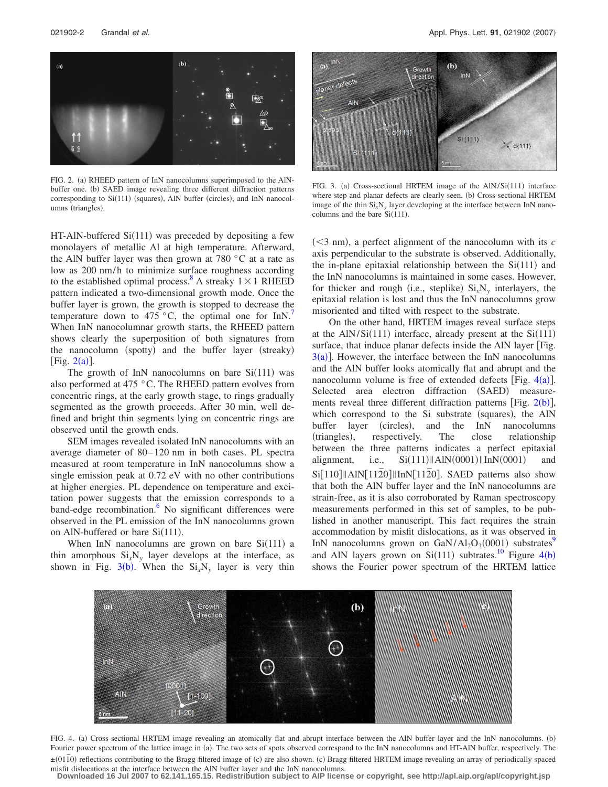<span id="page-1-0"></span>

FIG. 2. (a) RHEED pattern of InN nanocolumns superimposed to the AlNbuffer one. (b) SAED image revealing three different diffraction patterns corresponding to Si(111) (squares), AlN buffer (circles), and InN nanocolumns (triangles).

HT-AlN-buffered Si(111) was preceded by depositing a few monolayers of metallic Al at high temperature. Afterward, the AlN buffer layer was then grown at 780  $\degree$ C at a rate as low as 200 nm/h to minimize surface roughness according to the established optimal process.<sup>8</sup> A streaky  $1 \times 1$  RHEED pattern indicated a two-dimensional growth mode. Once the buffer layer is grown, the growth is stopped to decrease the temperature down to 475  $\degree$ C, the optimal one for InN.<sup>7</sup> When InN nanocolumnar growth starts, the RHEED pattern shows clearly the superposition of both signatures from the nanocolumn (spotty) and the buffer layer (streaky) [Fig.  $2(a)$  $2(a)$ ].

The growth of InN nanocolumns on bare  $Si(111)$  was also performed at 475 °C. The RHEED pattern evolves from concentric rings, at the early growth stage, to rings gradually segmented as the growth proceeds. After 30 min, well defined and bright thin segments lying on concentric rings are observed until the growth ends.

SEM images revealed isolated InN nanocolumns with an average diameter of 80– 120 nm in both cases. PL spectra measured at room temperature in InN nanocolumns show a single emission peak at 0.72 eV with no other contributions at higher energies. PL dependence on temperature and excitation power suggests that the emission corresponds to a band-edge recombination. $6$  No significant differences were observed in the PL emission of the InN nanocolumns grown on AlN-buffered or bare  $Si(111)$ .

<span id="page-1-2"></span>When InN nanocolumns are grown on bare  $Si(111)$  a thin amorphous  $Si<sub>x</sub>N<sub>y</sub>$  layer develops at the interface, as shown in Fig.  $3(b)$  $3(b)$ . When the  $Si_xN_y$  layer is very thin

<span id="page-1-1"></span>

FIG. 3. (a) Cross-sectional HRTEM image of the AlN/Si(111) interface where step and planar defects are clearly seen. (b) Cross-sectional HRTEM image of the thin  $Si_xN_y$  layer developing at the interface between InN nanocolumns and the bare  $Si(111)$ .

 $(<$ 3 nm), a perfect alignment of the nanocolumn with its  $$ axis perpendicular to the substrate is observed. Additionally, the in-plane epitaxial relationship between the  $Si(111)$  and the InN nanocolumns is maintained in some cases. However, for thicker and rough (i.e., steplike)  $Si_xN_y$  interlayers, the epitaxial relation is lost and thus the InN nanocolumns grow misoriented and tilted with respect to the substrate.

On the other hand, HRTEM images reveal surface steps at the  $AlN/Si(111)$  interface, already present at the  $Si(111)$ surface, that induce planar defects inside the AlN layer [Fig.  $3(a)$  $3(a)$ ]. However, the interface between the InN nanocolumns and the AlN buffer looks atomically flat and abrupt and the nanocolumn volume is free of extended defects [Fig.  $4(a)$  $4(a)$ ]. Selected area electron diffraction (SAED) measurements reveal three different diffraction patterns [Fig.  $2(b)$  $2(b)$ ], which correspond to the Si substrate (squares), the AlN buffer layer (circles), and the InN nanocolumns (triangles), respectively. The close relationship between the three patterns indicates a perfect epitaxial alignment, i.e.,  $\|\text{AlN}(0001)\|\text{InN}(0001)$  and Si<sup>[110]</sup>||AlN<sup>[1120]</sup>||InN<sup>[1120]</sup>. SAED patterns also show that both the AlN buffer layer and the InN nanocolumns are strain-free, as it is also corroborated by Raman spectroscopy measurements performed in this set of samples, to be published in another manuscript. This fact requires the strain accommodation by misfit dislocations, as it was observed in InN nanocolumns grown on  $\text{GaN/Al}_2\text{O}_3(0001)$  substrates<sup>9</sup> and AlN layers grown on  $Si(111)$  subtrates.<sup>10</sup> Figure [4](#page-1-2)(b) shows the Fourier power spectrum of the HRTEM lattice



FIG. 4. (a) Cross-sectional HRTEM image revealing an atomically flat and abrupt interface between the AlN buffer layer and the InN nanocolumns. (b) Fourier power spectrum of the lattice image in (a). The two sets of spots observed correspond to the InN nanocolumns and HT-AlN buffer, respectively. The ±(01<sup>1</sup>0) reflections contributing to the Bragg-filtered image of (c) are also shown. (c) Bragg filtered HRTEM image revealing an array of periodically spaced ±(01<sup>1</sup>0) reflections contributing to the Bragg-filtered image misfit dislocations at the interface between the AlN buffer layer and the InN nanocolumns.

**Downloaded 16 Jul 2007 to 62.141.165.15. Redistribution subject to AIP license or copyright, see http://apl.aip.org/apl/copyright.jsp**